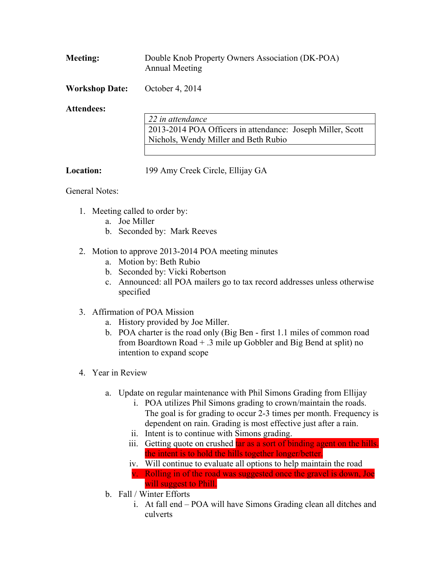| <b>Meeting:</b> | Double Knob Property Owners Association (DK-POA) |
|-----------------|--------------------------------------------------|
|                 | Annual Meeting                                   |

**Workshop Date:** October 4, 2014

## **Attendees:**

| 22 in attendance                                           |  |
|------------------------------------------------------------|--|
| 2013-2014 POA Officers in attendance: Joseph Miller, Scott |  |
| Nichols, Wendy Miller and Beth Rubio                       |  |
|                                                            |  |

**Location:** 199 Amy Creek Circle, Ellijay GA

## General Notes:

- 1. Meeting called to order by:
	- a. Joe Miller
	- b. Seconded by: Mark Reeves
- 2. Motion to approve 2013-2014 POA meeting minutes
	- a. Motion by: Beth Rubio
	- b. Seconded by: Vicki Robertson
	- c. Announced: all POA mailers go to tax record addresses unless otherwise specified
- 3. Affirmation of POA Mission
	- a. History provided by Joe Miller.
	- b. POA charter is the road only (Big Ben first 1.1 miles of common road from Boardtown Road + .3 mile up Gobbler and Big Bend at split) no intention to expand scope
- 4. Year in Review
	- a. Update on regular maintenance with Phil Simons Grading from Ellijay
		- i. POA utilizes Phil Simons grading to crown/maintain the roads. The goal is for grading to occur 2-3 times per month. Frequency is dependent on rain. Grading is most effective just after a rain.
		- ii. Intent is to continue with Simons grading.
		- iii. Getting quote on crushed tar as a sort of binding agent on the hills. the intent is to hold the hills together longer/better.
		- iv. Will continue to evaluate all options to help maintain the road v. Rolling in of the road was suggested once the gravel is down, Joe will suggest to Phill.
	- b. Fall / Winter Efforts
		- i. At fall end POA will have Simons Grading clean all ditches and culverts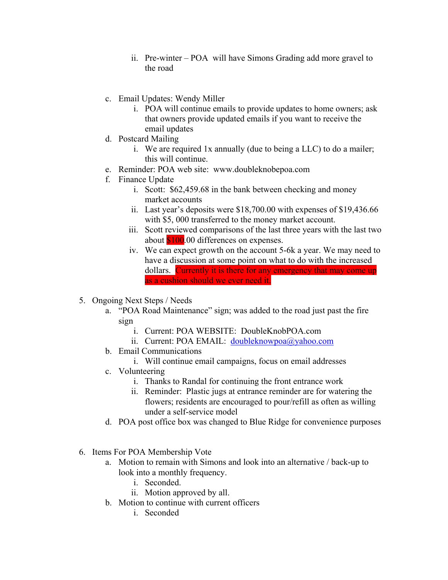- ii. Pre-winter POA will have Simons Grading add more gravel to the road
- c. Email Updates: Wendy Miller
	- i. POA will continue emails to provide updates to home owners; ask that owners provide updated emails if you want to receive the email updates
- d. Postcard Mailing
	- i. We are required 1x annually (due to being a LLC) to do a mailer; this will continue.
- e. Reminder: POA web site: www.doubleknobepoa.com
- f. Finance Update
	- i. Scott: \$62,459.68 in the bank between checking and money market accounts
	- ii. Last year's deposits were \$18,700.00 with expenses of \$19,436.66 with \$5, 000 transferred to the money market account.
	- iii. Scott reviewed comparisons of the last three years with the last two about  $$100.00$  differences on expenses.
	- iv. We can expect growth on the account 5-6k a year. We may need to have a discussion at some point on what to do with the increased dollars. Currently it is there for any emergency that may come up as a cushion should we ever need it.
- 5. Ongoing Next Steps / Needs
	- a. "POA Road Maintenance" sign; was added to the road just past the fire sign
		- i. Current: POA WEBSITE: DoubleKnobPOA.com
		- ii. Current: POA EMAIL: doubleknowpoa@yahoo.com
	- b. Email Communications
		- i. Will continue email campaigns, focus on email addresses
	- c. Volunteering
		- i. Thanks to Randal for continuing the front entrance work
		- ii. Reminder: Plastic jugs at entrance reminder are for watering the flowers; residents are encouraged to pour/refill as often as willing under a self-service model
	- d. POA post office box was changed to Blue Ridge for convenience purposes
- 6. Items For POA Membership Vote
	- a. Motion to remain with Simons and look into an alternative / back-up to look into a monthly frequency.
		- i. Seconded.
		- ii. Motion approved by all.
	- b. Motion to continue with current officers
		- i. Seconded